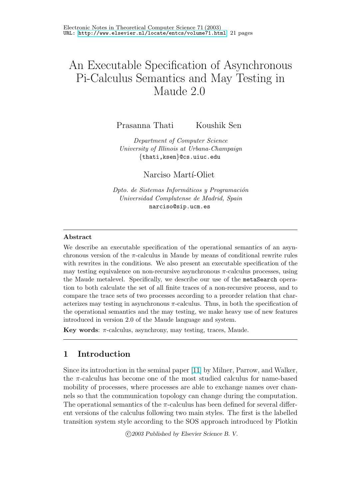# A[n Executable Specification of A](http://www.elsevier.nl/locate/entcs/volume71.html)synchronous Pi-Calculus Semantics and May Testing in Maude 2.0

Prasanna Thati Koushik Sen

Department of Computer Science University of Illinois at Urbana-Champaign {thati,ksen}@cs.uiuc.edu

Narciso Martí-Oliet

Dpto. de Sistemas Informáticos y Programación Universidad Complutense de Madrid, Spain narciso@sip.ucm.es

#### Abstract

We describe an executable specification of the operational semantics of an asynchronous version of the  $\pi$ -calculus in Maude by means of conditional rewrite rules with rewrites in the conditions. We also present an executable specification of the may testing equivalence on non-recursive asynchronous  $\pi$ -calculus processes, using the Maude metalevel. Specifically, we describe our use of the metaSearch operation to both calculate the set of all finite traces of a non-recursive process, and to compare the trace sets of two processes according to a preorder relation that characterizes may testing in asynchronous  $\pi$ -calculus. Thus, in both the specification of the operational semantics and the may testing, we make heavy use of new features introduced in version 2.0 of the Maude language and system.

Key words:  $π$ -calculus, asynchrony, may testing, traces, Maude.

## 1 Introduction

Since its introduction in the seminal paper [11] by Milner, Parrow, and Walker, the  $\pi$ -calculus has become one of the most studied calculus for name-based mobility of processes, where processes are able to exchange names over channels so that the communication topology c[an](#page-17-0) change during the computation. The operational semantics of the  $\pi$ -calculus has been defined for several different versions of the calculus following two main styles. The first is the labelled transition system style according to the SOS approach introduced by Plotkin

°c 2003 Published by Elsevier Science B. V.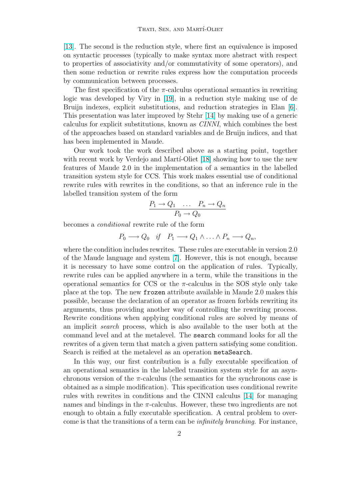[13]. The second is the reduction style, where first an equivalence is imposed on syntactic processes (typically to make syntax more abstract with respect to properties of associativity and/or commutativity of some operators), and [the](#page-18-0)n some reduction or rewrite rules express how the computation proceeds by communication between processes.

The first specification of the  $\pi$ -calculus operational semantics in rewriting logic was developed by Viry in [19], in a reduction style making use of de Bruijn indexes, explicit substitutions, and reduction strategies in Elan [6]. This presentation was later improved by Stehr [14] by making use of a generic calculus for explicit substitutions[, kn](#page-18-0)own as CINNI, which combines the best of the approaches based on standard variables and de Bruijn indices, and t[ha](#page-17-0)t has been implemented in Maude.

Our work took the work described above [as](#page-18-0) a starting point, together with recent work by Verdejo and Marti-Oliet [18] showing how to use the new features of Maude 2.0 in the implementation of a semantics in the labelled transition system style for CCS. This work makes essential use of conditional rewrite rules with rewrites in the conditions, [so](#page-18-0) that an inference rule in the labelled transition system of the form

$$
\frac{P_1 \to Q_1 \quad \dots \quad P_n \to Q_n}{P_0 \to Q_0}
$$

becomes a conditional rewrite rule of the form

$$
P_0 \longrightarrow Q_0 \quad \text{if} \quad P_1 \longrightarrow Q_1 \land \dots \land P_n \longrightarrow Q_n,
$$

where the condition includes rewrites. These rules are executable in version 2.0 of the Maude language and system [7]. However, this is not enough, because it is necessary to have some control on the application of rules. Typically, rewrite rules can be applied anywhere in a term, while the transitions in the operational semantics for CCS or t[he](#page-17-0)  $\pi$ -calculus in the SOS style only take place at the top. The new frozen attribute available in Maude 2.0 makes this possible, because the declaration of an operator as frozen forbids rewriting its arguments, thus providing another way of controlling the rewriting process. Rewrite conditions when applying conditional rules are solved by means of an implicit search process, which is also available to the user both at the command level and at the metalevel. The search command looks for all the rewrites of a given term that match a given pattern satisfying some condition. Search is reified at the metalevel as an operation metaSearch.

In this way, our first contribution is a fully executable specification of an operational semantics in the labelled transition system style for an asynchronous version of the  $\pi$ -calculus (the semantics for the synchronous case is obtained as a simple modification). This specification uses conditional rewrite rules with rewrites in conditions and the CINNI calculus [14] for managing names and bindings in the  $\pi$ -calculus. However, these two ingredients are not enough to obtain a fully executable specification. A central problem to overcome is that the transitions of a term can be infinitely branc[hing](#page-18-0). For instance,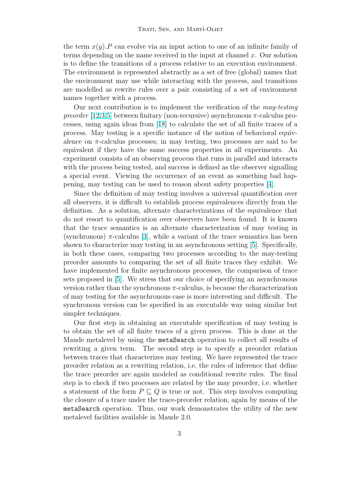the term  $x(y)$ . P can evolve via an input action to one of an infinite family of terms depending on the name received in the input at channel  $x$ . Our solution is to define the transitions of a process relative to an execution environment. The environment is represented abstractly as a set of free (global) names that the environment may use while interacting with the process, and transitions are modelled as rewrite rules over a pair consisting of a set of environment names together with a process.

Our next contribution is to implement the verification of the may-testing preorder  $[12,3,5]$  between finitary (non-recursive) asynchronous  $\pi$ -calculus processes, using again ideas from [18] to calculate the set of all finite traces of a process. May testing is a specific instance of the notion of behavioral equivalence on  $\pi$ [-calc](#page-17-0)ulus processes; in may testing, two processes are said to be equivalen[t if](#page-17-0) they have the sa[me](#page-18-0) success properties in all experiments. An experiment consists of an observing process that runs in parallel and interacts with the process being tested, and success is defined as the observer signalling a special event. Viewing the occurrence of an event as something bad happening, may testing can be used to reason about safety properties [4].

Since the definition of may testing involves a universal quantification over all observers, it is difficult to establish process equivalences directly from the definition. As a solution, alternate characterizations of the equiva[len](#page-17-0)ce that do not resort to quantification over observers have been found. It is known that the trace semantics is an alternate characterization of may testing in (synchronous)  $\pi$ -calculus [3], while a variant of the trace semantics has been shown to characterize may testing in an asynchronous setting [5]. Specifically, in both these cases, comparing two processes according to the may-testing preorder amounts to com[pa](#page-17-0)ring the set of all finite traces they exhibit. We have implemented for finite asynchronous processes, the com[pa](#page-17-0)rison of trace sets proposed in [5]. We stress that our choice of specifying an asynchronous version rather than the synchronous  $\pi$ -calculus, is because the characterization of may testing for the asynchronous case is more interesting and difficult. The synchronous vers[ion](#page-17-0) can be specified in an executable way using similar but simpler techniques.

Our first step in obtaining an executable specification of may testing is to obtain the set of all finite traces of a given process. This is done at the Maude metalevel by using the metaSearch operation to collect all results of rewriting a given term. The second step is to specify a preorder relation between traces that characterizes may testing. We have represented the trace preorder relation as a rewriting relation, i.e. the rules of inference that define the trace preorder are again modeled as conditional rewrite rules. The final step is to check if two processes are related by the may preorder, i.e. whether a statement of the form  $P \sqsubset Q$  is true or not. This step involves computing the closure of a trace under the trace-preorder relation, again by means of the metaSearch operation. Thus, our work demonstrates the utility of the new metalevel facilities available in Maude 2.0.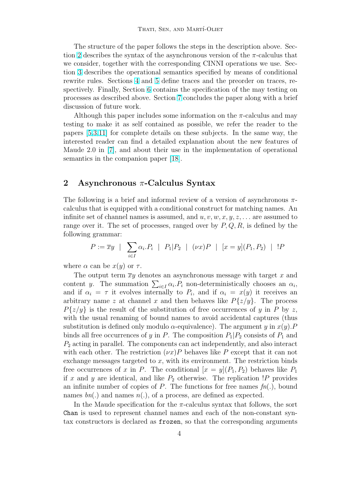The structure of the paper follows the steps in the description above. Section 2 describes the syntax of the asynchronous version of the  $\pi$ -calculus that we consider, together with the corresponding CINNI operations we use. Section 3 describes the operational semantics specified by means of conditional rewrite rules. Sections 4 and 5 define traces and the preorder on traces, respectively. Finally, Section 6 contains the specification of the may testing on proc[es](#page-5-0)ses as described above. Section 7 concludes the paper along with a brief discussion of future wo[rk.](#page-9-0)

Although this paper inc[lu](#page-13-0)[des](#page-10-0) some information on the  $\pi$ -calculus and may testing to make it as self contained [as](#page-16-0) possible, we refer the reader to the papers [5,3,11] for complete details on these subjects. In the same way, the interested reader can find a detailed explanation about the new features of Maude 2.0 in [7], and about their use in the implementation of operational semanti[cs in th](#page-17-0)e companion paper [18].

## 2 Asynch[ro](#page-17-0)nous  $\pi$ -Calc[ulu](#page-18-0)s Syntax

The following is a brief and informal review of a version of asynchronous  $\pi$ calculus that is equipped with a conditional construct for matching names. An infinite set of channel names is assumed, and  $u, v, w, x, y, z, \ldots$  are assumed to range over it. The set of processes, ranged over by  $P, Q, R$ , is defined by the following grammar:

$$
P := \overline{x}y \mid \sum_{i \in I} \alpha_i P_i \mid P_1 | P_2 \mid (\nu x)P \mid [x = y](P_1, P_2) \mid P
$$

where  $\alpha$  can be  $x(y)$  or  $\tau$ .

The output term  $\overline{xy}$  denotes an asynchronous message with target x and The output term xy denotes an asynchronous message with target x and<br>content y. The summation  $\sum_{i\in I}\alpha_i.P_i$  non-deterministically chooses an  $\alpha_i$ , and if  $\alpha_i = \tau$  it evolves internally to  $P_i$ , and if  $\alpha_i = x(y)$  it receives an arbitrary name z at channel x and then behaves like  $P\{z/y\}$ . The process  $P\{z/y\}$  is the result of the substitution of free occurrences of y in P by z, with the usual renaming of bound names to avoid accidental captures (thus substitution is defined only modulo  $\alpha$ -equivalence). The argument y in  $x(y)$ . binds all free occurrences of y in P. The composition  $P_1|P_2$  consists of  $P_1$  and  $P<sub>2</sub>$  acting in parallel. The components can act independently, and also interact with each other. The restriction  $(\nu x)P$  behaves like P except that it can not exchange messages targeted to x, with its environment. The restriction binds free occurrences of x in P. The conditional  $[x = y](P_1, P_2)$  behaves like  $P_1$ if x and y are identical, and like  $P_2$  otherwise. The replication  $P$  provides an infinite number of copies of P. The functions for free names  $fn(.)$ , bound names  $bn(.)$  and names  $n(.)$ , of a process, are defined as expected.

In the Maude specification for the  $\pi$ -calculus syntax that follows, the sort Chan is used to represent channel names and each of the non-constant syntax constructors is declared as frozen, so that the corresponding arguments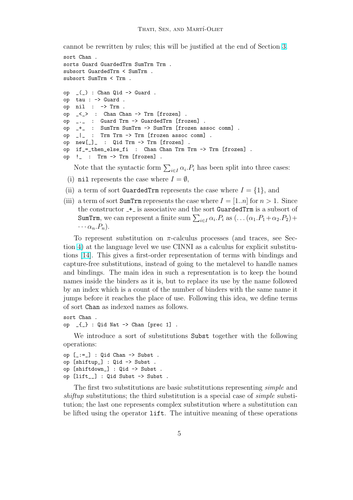cannot be rewritten by rules; this will be justified at the end of Section 3.

```
sort Chan .
sorts Guard GuardedTrm SumTrm Trm .
subsort GuardedTrm < SumTrm .
subsort SumTrm < Trm .
op () : Chan Qid \rightarrow Guard.
op tau : -> Guard .
op nil : -> Trm .
op _<_> : Chan Chan -> Trm [frozen] .
op _._ : Guard Trm -> GuardedTrm [frozen] .
op _+_ : SumTrm SumTrm -> SumTrm [frozen assoc comm] .
op _|_ : Trm Trm -> Trm [frozen assoc comm] .
op new[_]_ : Qid Trm -> Trm [frozen] .
op if_=_then_else_fi : Chan Chan Trm Trm -> Trm [frozen] .
op !_ : Trm -> Trm [frozen] .
```
Note that the syntactic form  $\sum_{i\in I}\alpha_i P_i$  has been split into three cases:

- (i) nil represents the case where  $I = \emptyset$ ,
- (ii) a term of sort GuardedTrm represents the case where  $I = \{1\}$ , and
- (iii) a term of sort SumTrm represents the case where  $I = [1..n]$  for  $n > 1$ . Since the constructor  $-+$  is associative and the sort GuardedTrm is a subsort of the constructor  $-+$  is associative and the sort duarded if it is a subsort of SumTrm, we can represent a finite sum  $\sum_{i\in I}\alpha_i.P_i$  as  $(\ldots(\alpha_1.P_1+\alpha_2.P_2)+$  $\cdots \alpha_n.P_n$ ).

To represent substitution on  $\pi$ -calculus processes (and traces, see Section 4) at the language level we use CINNI as a calculus for explicit substitutions [14]. This gives a first-order representation of terms with bindings and capture-free substitutions, instead of going to the metalevel to handle names and [bi](#page-9-0)ndings. The main idea in such a representation is to keep the bound name[s in](#page-18-0)side the binders as it is, but to replace its use by the name followed by an index which is a count of the number of binders with the same name it jumps before it reaches the place of use. Following this idea, we define terms of sort Chan as indexed names as follows.

sort Chan . op \_{\_} : Qid Nat -> Chan [prec 1] .

We introduce a sort of substitutions Subst together with the following operations:

op [\_:=\_] : Qid Chan -> Subst . op [shiftup\_] : Qid -> Subst . op [shiftdown\_] : Qid -> Subst . op [lift\_\_] : Qid Subst -> Subst .

The first two substitutions are basic substitutions representing *simple* and shiftup substitutions; the third substitution is a special case of *simple* substitution; the last one represents complex substitution where a substitution can be lifted using the operator lift. The intuitive meaning of these operations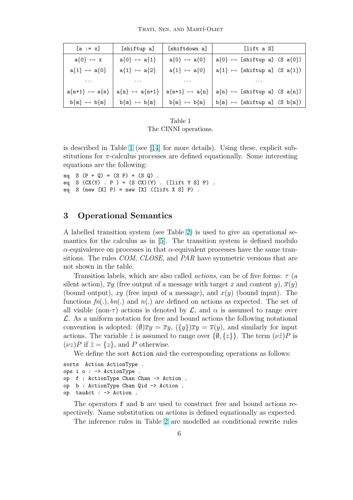Thati, Sen, and Mart´ı-Oliet

<span id="page-5-0"></span>

| $[a := x]$              | [shiftup a]               | [shiftdown a]           | [lift a S]                             |
|-------------------------|---------------------------|-------------------------|----------------------------------------|
| $a\{0\} \mapsto x$      | $a\{0\} \mapsto a\{1\}$   | $a\{0\} \mapsto a\{0\}$ | $a{0} \mapsto$ [shiftup a] (S $a{0}$ ) |
| $a\{1\} \mapsto a\{0\}$ | $a\{1\} \mapsto a\{2\}$   | $a{1} \mapsto a{0}$     | $a{1} \mapsto$ [shiftup a] (S $a{1}$ ) |
| .                       | $\cdot$ $\cdot$ $\cdot$   |                         | $\cdots$                               |
| $a{n+1} \mapsto a{n}$   | $a\{n\} \mapsto a\{n+1\}$ | $a{n+1} \mapsto a{n}$   | $a{n} \mapsto$ [shiftup a] (S $a{n}$ ) |
| $b{m} \mapsto b{m}$     | $b{m} \mapsto b{m}$       | $b{m} \mapsto b{m}$     | $b{m} \mapsto$ [shiftup a] (S $b{m}$ ) |

Table 1 The CINNI operations.

is described in Table 1 (see [14] for more details). Using these, explicit substitutions for  $\pi$ -calculus processes are defined equationally. Some interesting equations are the following:

eq  $S (P + Q) = (S P) + (S Q)$ . eq  $S (CX(Y) . P ) = (S CX)(Y) . ([lift Y S] P) .$ eq S (new  $[X]$  P) = new  $[X]$  ([lift X S] P).

#### 3 Operational Semantics

A labelled transition system (see Table 2) is used to give an operational semantics for the calculus as in [5]. The transition system is defined modulo  $\alpha$ -equivalence on processes in that  $\alpha$ -equivalent processes have the same tran-sitions. The rules COM, CLOSE, and P[AR](#page-6-0) have symmetric versions that are not shown in the table.

Transition labels, which [a](#page-17-0)re also called *actions*, can be of five forms:  $\tau$  (a silent action),  $\overline{xy}$  (free output of a message with target x and content y),  $\overline{x}(y)$ (bound output), xy (free input of a message), and  $x(y)$  (bound input). The functions  $fn(.)$ ,  $bn(.)$  and  $n(.)$  are defined on actions as expected. The set of all visible (non- $\tau$ ) actions is denoted by  $\mathcal{L}$ , and  $\alpha$  is assumed to range over  $\mathcal{L}$ . As a uniform notation for free and bound actions the following notational convention is adopted:  $(\emptyset)\overline{x}y = \overline{x}y$ ,  $(\{y\})\overline{x}y = \overline{x}(y)$ , and similarly for input actions. The variable  $\hat{z}$  is assumed to range over  $\{\emptyset, \{z\}\}\$ . The term  $(\nu \hat{z})P$  is  $(\nu z)P$  if  $\hat{z} = \{z\}$ , and P otherwise.

We define the sort Action and the corresponding operations as follows:

```
sorts Action ActionType .
ops i o : -> ActionType .
op f : ActionType Chan Chan -> Action .
op b : ActionType Chan Qid -> Action .
op tauAct : -> Action .
```
The operators f and b are used to construct free and bound actions respectively. Name substitution on actions is defined equationally as expected.

The inference rules in Table 2 are modelled as conditional rewrite rules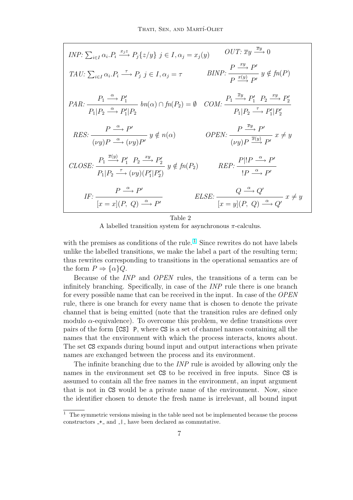<span id="page-6-0"></span>
$$
INP: \sum_{i \in I} \alpha_i P_i \xrightarrow{x_{jz}} P_j\{z/y\} \ j \in I, \alpha_j = x_j(y) \qquad OUT: \overline{xy} \xrightarrow{\overline{xy}} 0
$$
\n
$$
TAU: \sum_{i \in I} \alpha_i P_i \xrightarrow{\tau} P_j \ j \in I, \alpha_j = \tau \qquad BINP: \frac{P \xrightarrow{x_{ij}} P'}{P \xrightarrow{x_{ij}} P'} \ y \notin fn(P)
$$
\n
$$
PAR: \frac{P_1 \xrightarrow{\alpha} P'_1}{P_1|P_2 \xrightarrow{\alpha} P'_1|P_2} \ bn(\alpha) \cap fn(P_2) = \emptyset \qquad COM: \frac{P_1 \xrightarrow{\overline{x_{ij}}} P'_1}{P_1|P_2 \xrightarrow{\tau} P'_1|P'_2}
$$
\n
$$
RES: \frac{P \xrightarrow{\alpha} P'}{(vy)P \xrightarrow{\alpha} (vy)P'} \ y \notin n(\alpha) \qquad OPEN: \frac{P \xrightarrow{\overline{x_{ij}}} P'}{(vy)P \xrightarrow{\overline{x_{ij}}} P'} \ x \neq y
$$
\n
$$
CLOSE: \frac{P_1 \xrightarrow{\overline{x_{ij}}} P'_1}{P_1|P_2 \xrightarrow{\tau} (vy)(P'_1|P'_2)} \ y \notin fn(P_2) \qquad REP: \frac{P|!P \xrightarrow{\alpha} P'}{!P \xrightarrow{\alpha} P'}
$$
\n
$$
IF: \frac{P \xrightarrow{\alpha} P'}{[x=x](P, Q) \xrightarrow{\alpha} P'} \qquad ELSE: \frac{Q \xrightarrow{\alpha} Q'}{!x=y](P, Q) \xrightarrow{\alpha} Q'} \ x \neq y
$$

#### Table 2

A labelled transition system for asynchronous  $\pi$ -calculus.

with the premises as conditions of the rule.<sup>1</sup> Since rewrites do not have labels unlike the labelled transitions, we make the label a part of the resulting term; thus rewrites corresponding to transitions in the operational semantics are of the form  $P \Rightarrow {\alpha} Q$ .

Because of the INP and OPEN rules, the transitions of a term can be infinitely branching. Specifically, in case of the INP rule there is one branch for every possible name that can be received in the input. In case of the OPEN rule, there is one branch for every name that is chosen to denote the private channel that is being emitted (note that the transition rules are defined only modulo  $\alpha$ -equivalence). To overcome this problem, we define transitions over pairs of the form [CS] P, where CS is a set of channel names containing all the names that the environment with which the process interacts, knows about. The set CS expands during bound input and output interactions when private names are exchanged between the process and its environment.

The infinite branching due to the *INP* rule is avoided by allowing only the names in the environment set CS to be received in free inputs. Since CS is assumed to contain all the free names in the environment, an input argument that is not in CS would be a private name of the environment. Now, since the identifier chosen to denote the fresh name is irrelevant, all bound input

 $1$  The symmetric versions missing in the table need not be implemented because the process constructors  $-+$  and  $-$ | have been declared as commutative.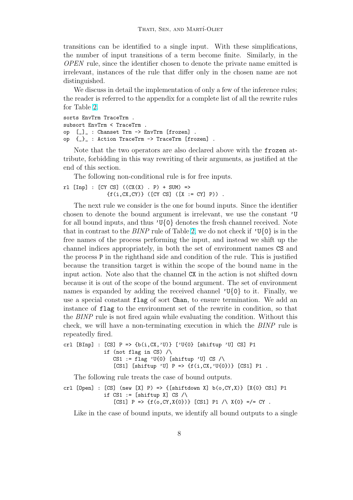transitions can be identified to a single input. With these simplifications, the number of input transitions of a term become finite. Similarly, in the OPEN rule, since the identifier chosen to denote the private name emitted is irrelevant, instances of the rule that differ only in the chosen name are not distinguished.

We discuss in detail the implementation of only a few of the inference rules; the reader is referred to the appendix for a complete list of all the rewrite rules for Table 2.

```
sorts EnvTrm TraceTrm .
subsort EnvTrm < TraceTrm .
op [_]_ : Chanset Trm -> EnvTrm [frozen] .
op {_}_ : Action TraceTrm -> TraceTrm [frozen] .
```
Note that the two operators are also declared above with the frozen attribute, forbidding in this way rewriting of their arguments, as justified at the end of this section.

The following non-conditional rule is for free inputs.

```
rl [Inp] : [CY CS] ((CX(X) . P) + SUM) =>
             {f(i,CX,CY)} ([CY CS] (X := CY] P).
```
The next rule we consider is the one for bound inputs. Since the identifier chosen to denote the bound argument is irrelevant, we use the constant 'U for all bound inputs, and thus  $'U\{0\}$  denotes the fresh channel received. Note that in contrast to the *BINP* rule of Table 2, we do not check if  $'U\{0\}$  is in the free names of the process performing the input, and instead we shift up the channel indices appropriately, in both the set of environment names CS and the process P in the righthand side and c[ond](#page-6-0)ition of the rule. This is justified because the transition target is within the scope of the bound name in the input action. Note also that the channel CX in the action is not shifted down because it is out of the scope of the bound argument. The set of environment names is expanded by adding the received channel  $'U\{0\}$  to it. Finally, we use a special constant flag of sort Chan, to ensure termination. We add an instance of flag to the environment set of the rewrite in condition, so that the BINP rule is not fired again while evaluating the condition. Without this check, we will have a non-terminating execution in which the BINP rule is repeatedly fired.

```
crl [BInp] : [CS] P \Rightarrow \{b(i, CX, 'U)\} ['U{0} [shiftup 'U] CS] P1
               if (not flag in CS) \wedgeCS1 := flag 'U{0} [shiftup 'U] CS \land[CS1] [shiftup 'U] P \Rightarrow \{f(i, CX, 'U{0})\} [CS1] P1 .
```
The following rule treats the case of bound outputs.

```
crl [Open] : [CS] (new [X] P) => {[shiftdown X] b(o,CY,X)} [X{0} CS1] P1
             if CS1 := [shiftup X] CS / \n[CS1] P => {f(o,CY,X{0})} [CS1] P1 /\ X{0} =/= CY .
```
Like in the case of bound inputs, we identify all bound outputs to a single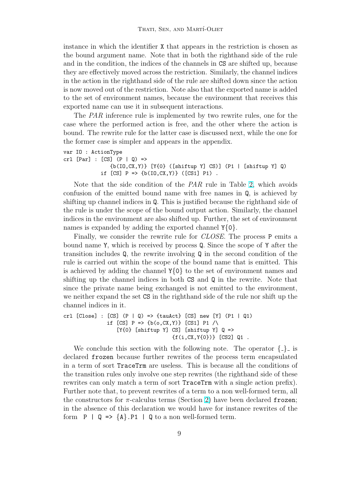instance in which the identifier X that appears in the restriction is chosen as the bound argument name. Note that in both the righthand side of the rule and in the condition, the indices of the channels in CS are shifted up, because they are effectively moved across the restriction. Similarly, the channel indices in the action in the righthand side of the rule are shifted down since the action is now moved out of the restriction. Note also that the exported name is added to the set of environment names, because the environment that receives this exported name can use it in subsequent interactions.

The PAR inference rule is implemented by two rewrite rules, one for the case where the performed action is free, and the other where the action is bound. The rewrite rule for the latter case is discussed next, while the one for the former case is simpler and appears in the appendix.

```
var IO : ActionType
crl [Par] : [CS] (P | Q) =>
               {b(IO,CX,Y)} [Y{0} ([shiftup Y] CS)] (P1 | [shiftup Y] Q)
            if [CS] P => \{b(IO, CX, Y)\} ([CS1] P1).
```
Note that the side condition of the *PAR* rule in Table 2, which avoids confusion of the emitted bound name with free names in Q, is achieved by shifting up channel indices in Q. This is justified because the righthand side of the rule is under the scope of the bound output action. Simil[ar](#page-6-0)ly, the channel indices in the environment are also shifted up. Further, the set of environment names is expanded by adding the exported channel  $Y\{0\}$ .

Finally, we consider the rewrite rule for CLOSE. The process P emits a bound name Y, which is received by process Q. Since the scope of Y after the transition includes Q, the rewrite involving Q in the second condition of the rule is carried out within the scope of the bound name that is emitted. This is achieved by adding the channel  $Y{0}$  to the set of environment names and shifting up the channel indices in both CS and Q in the rewrite. Note that since the private name being exchanged is not emitted to the environment, we neither expand the set CS in the righthand side of the rule nor shift up the channel indices in it.

```
crl [Close] : [CS] (P | Q) \Rightarrow {tauAct} [CS] new [Y] (P1 | Q1)if [CS] P => \{b(o, CX, Y)\} [CS1] P1 \wedge[Y{0} [shiftup Y] CS] [shiftup Y] Q =>
                                      \{f(i,CX,Y{0})\} [CS2] Q1.
```
We conclude this section with the following note. The operator  $\{\cdot\}$  is declared frozen because further rewrites of the process term encapsulated in a term of sort TraceTrm are useless. This is because all the conditions of the transition rules only involve one step rewrites (the righthand side of these rewrites can only match a term of sort TraceTrm with a single action prefix). Further note that, to prevent rewrites of a term to a non well-formed term, all the constructors for  $\pi$ -calculus terms (Section 2) have been declared frozen; in the absence of this declaration we would have for instance rewrites of the form  $P | Q \implies \{A\}$ . P1 | Q to a non well-formed term.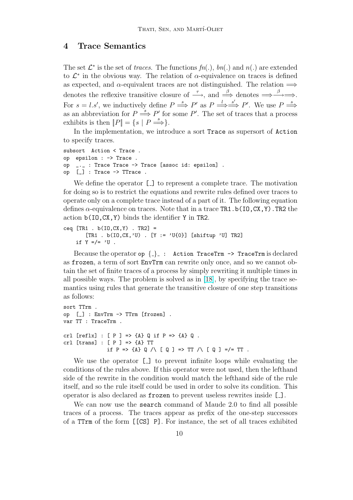#### <span id="page-9-0"></span>4 Trace Semantics

The set  $\mathcal{L}^*$  is the set of *traces*. The functions  $fn(.)$ ,  $bn(.)$  and  $n(.)$  are extended to  $\mathcal{L}^*$  in the obvious way. The relation of  $\alpha$ -equivalence on traces is defined as expected, and  $\alpha$ -equivalent traces are not distinguished. The relation  $\Longrightarrow$ denotes the reflexive transitive closure of  $\stackrel{\tau}{\longrightarrow}$ , and  $\stackrel{\beta}{\Longrightarrow}$  denotes  $\Longrightarrow \stackrel{\beta}{\Longrightarrow} \Longrightarrow$ . For  $s = l.s'$ , we inductively define  $P \stackrel{s}{\Longrightarrow} P'$  as  $P \stackrel{l}{\Longrightarrow} S'$ . We use  $P \stackrel{s}{\Longrightarrow} P'$ . as an abbreviation for  $P \stackrel{s}{\Longrightarrow} P'$  for some P'. The set of traces that a process exhibits is then  $||P|| = \{s | P \stackrel{s}{\Longrightarrow} \}.$ 

In the implementation, we introduce a sort Trace as supersort of Action to specify traces.

```
subsort Action < Trace .
op epsilon : -> Trace .
op _._ : Trace Trace -> Trace [assoc id: epsilon] .
op [_] : Trace -> TTrace .
```
We define the operator  $\lceil \_ \rceil$  to represent a complete trace. The motivation for doing so is to restrict the equations and rewrite rules defined over traces to operate only on a complete trace instead of a part of it. The following equation defines  $\alpha$ -equivalence on traces. Note that in a trace TR1.b(IO,CX,Y).TR2 the action b(IO,CX,Y) binds the identifier Y in TR2.

 $ceq$  [TR1 .  $b(IO, CX, Y)$  . TR2] = [TR1 . b(IO,CX,'U) . [Y := 'U{0}] [shiftup 'U] TR2] if  $Y = / = 'U$ .

Because the operator op  $\{-\}$ .: Action TraceTrm -> TraceTrm is declared as frozen, a term of sort EnvTrm can rewrite only once, and so we cannot obtain the set of finite traces of a process by simply rewriting it multiple times in all possible ways. The problem is solved as in [18], by specifying the trace semantics using rules that generate the transitive closure of one step transitions as follows:

```
sort TTrm .
op [_] : EnvTrm -> TTrm [frozen] .
var TT : TraceTrm .
crl [reflx] : [ P ] => {A} Q if P => {A} Q.
crl [trans] : [P] \Rightarrow {A} TT
              if P => {A} Q /\ [ Q ] => TT /\ [ Q ] =/= TT .
```
We use the operator [1] to prevent infinite loops while evaluating the conditions of the rules above. If this operator were not used, then the lefthand side of the rewrite in the condition would match the lefthand side of the rule itself, and so the rule itself could be used in order to solve its condition. This operator is also declared as frozen to prevent useless rewrites inside [ ].

We can now use the search command of Maude 2.0 to find all possible traces of a process. The traces appear as prefix of the one-step successors of a TTrm of the form [[CS] P]. For instance, the set of all traces exhibited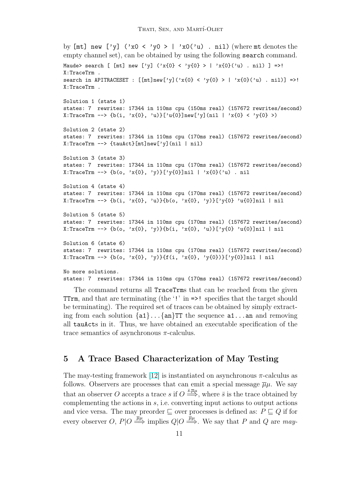```
by [mt] new ['y] ('x0 < 'y0 > | 'x0('u) \dots nil) (where mt denotes the
empty channel set), can be obtained by using the following search command.
Maude> search [ [mt] new ['y] ('x{0} < 'y{0} > | 'x{0}('u) . nil) ] =>!
X:TraceTrm .
search in APITRACESET : [[\text{mt}]\text{new['y]}('x{0} < 'y{0} > | 'x{0}('u) . \text{nil})] => !X:TraceTrm .
Solution 1 (state 1)
states: 7 rewrites: 17344 in 110ms cpu (150ms real) (157672 rewrites/second)
X:TraceTrm --> {b(i, 'x{0}, 'u)}['u{0}]new['y](nil | 'x{0} < 'y{0} >)
Solution 2 (state 2)
states: 7 rewrites: 17344 in 110ms cpu (170ms real) (157672 rewrites/second)
X:TraceTrm --> {tauAct}[mt]new['y](nil | nil)
Solution 3 (state 3)
states: 7 rewrites: 17344 in 110ms cpu (170ms real) (157672 rewrites/second)
X:TraceTrm --> {b(o, 'x{0}, 'y)}['y{0}]nil | 'x{0}('u) . nil
Solution 4 (state 4)
states: 7 rewrites: 17344 in 110ms cpu (170ms real) (157672 rewrites/second)
X:TraceTrm --> {b(i, 'x{0}, 'u)}{b(o, 'x{0}, 'y)}['y{0} 'u{0}]nil | nil
Solution 5 (state 5)
states: 7 rewrites: 17344 in 110ms cpu (170ms real) (157672 rewrites/second)
X:TraceTrm --> {b(o, 'x{0}, 'y)}{b(i, 'x{0}, 'u)}['y{0} 'u{0}]nil | nil
Solution 6 (state 6)
states: 7 rewrites: 17344 in 110ms cpu (170ms real) (157672 rewrites/second)
X:TraceTrm --> {b(o, 'x{0}, 'y)}{f(i, 'x{0}, 'y{0})}['y{0}]nil | nil
No more solutions.
states: 7 rewrites: 17344 in 110ms cpu (170ms real) (157672 rewrites/second)
```
The command returns all TraceTrms that can be reached from the given TTrm, and that are terminating (the '!' in =>! specifies that the target should be terminating). The required set of traces can be obtained by simply extracting from each solution  $\{a1\} \dots \{an\}$ TT the sequence  $a1 \dots$ an and removing all tauActs in it. Thus, we have obtained an executable specification of the trace semantics of asynchronous  $\pi$ -calculus.

#### 5 A Trace Based Characterization of May Testing

The may-testing framework  $[12]$  is instantiated on asynchronous  $\pi$ -calculus as follows. Observers are processes that can emit a special message  $\overline{\mu}\mu$ . We say that an observer O accepts a trace s if  $O \stackrel{\bar{s}.\bar{\mu}\mu}{\Longrightarrow}$ , where  $\bar{s}$  is the trace obtained by complementing the actions in [s](#page-17-0), i.e. converting input actions to output actions and vice versa. The may preorder  $\subseteq$  over processes is defined as:  $P \subseteq Q$  if for every observer O,  $P|O \stackrel{\overline{\mu}\mu}{\Longrightarrow}$  implies  $Q|O \stackrel{\overline{\mu}\mu}{\Longrightarrow}$ . We say that P and Q are may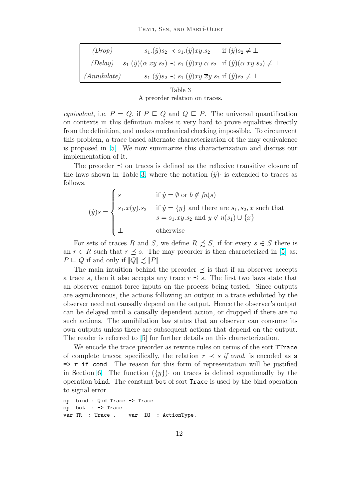Thati, Sen, and Mart´ı-Oliet

| (Drop)       | $s_1 \hat{y} s_2 \prec s_1 \hat{y} x y s_2$                                                                           | if $(\hat{y})s_2 \neq \perp$ |
|--------------|-----------------------------------------------------------------------------------------------------------------------|------------------------------|
|              | $(Delay)$ $s_1.(\hat{y})(\alpha. xy.s_2) \prec s_1.(\hat{y}) xy. \alpha.s_2$ if $(\hat{y})(\alpha. xy.s_2) \neq \bot$ |                              |
| (Annihilate) | $s_1 \hat{y}_3 s_2 \prec s_1 \hat{y}_3 x y \bar{x} y \bar{x}_2$ if $(\hat{y}) s_2 \neq \bot$                          |                              |

Table 3 A preorder relation on traces.

equivalent, i.e.  $P = Q$ , if  $P \sqsubseteq Q$  and  $Q \sqsubseteq P$ . The universal quantification on contexts in this definition makes it very hard to prove equalities directly from the definition, and makes mechanical checking impossible. To circumvent this problem, a trace based alternate characterization of the may equivalence is proposed in [5]. We now summarize this characterization and discuss our implementation of it.

The preorder  $\preceq$  on traces is defined as the reflexive transitive closure of the laws shown [in](#page-17-0) Table 3, where the notation  $(\hat{y})$  is extended to traces as follows.  $\overline{a}$ 

$$
(\hat{y})s = \begin{cases} s & \text{if } \hat{y} = \emptyset \text{ or } b \notin f_n(s) \\ s_1.x(y).s_2 & \text{if } \hat{y} = \{y\} \text{ and there are } s_1, s_2, x \text{ such that } \\ s = s_1.xy.s_2 \text{ and } y \notin n(s_1) \cup \{x\} \\ \perp & \text{otherwise} \end{cases}
$$

For sets of traces R and S, we define  $R \precsim S$ , if for every  $s \in S$  there is an  $r \in R$  such that  $r \preceq s$ . The may preorder is then characterized in [5] as:  $P \sqsubseteq Q$  if and only if  $||Q|| \precsim ||P||$ .

The main intuition behind the preorder  $\prec$  is that if an observer accepts a trace s, then it also accepts any trace  $r \preceq s$ . The first two laws stat[e t](#page-17-0)hat an observer cannot force inputs on the process being tested. Since outputs are asynchronous, the actions following an output in a trace exhibited by the observer need not causally depend on the output. Hence the observer's output can be delayed until a causally dependent action, or dropped if there are no such actions. The annihilation law states that an observer can consume its own outputs unless there are subsequent actions that depend on the output. The reader is referred to [5] for further details on this characterization.

We encode the trace preorder as rewrite rules on terms of the sort TTrace of complete traces; specifically, the relation  $r \prec s$  if cond, is encoded as s  $\Rightarrow$  r if cond. The rea[son](#page-17-0) for this form of representation will be justified in Section 6. The function  $({y})$  on traces is defined equationally by the operation bind. The constant bot of sort Trace is used by the bind operation to signal error.

```
 Qid Trace -> Trace
op bot : -> Trace .
var TR : Trace . var IO : ActionType.
```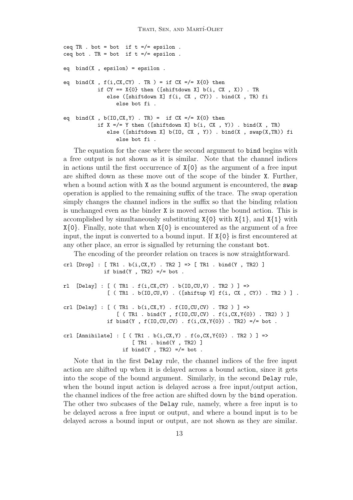```
ceq TR . bot = bot if t =/= epsilon.
ceq bot . TR = bot if t =/= epsilon .
eq bind(X , epsilon) = epsilon .
eq bind(X, f(i, CX, CY). TR) = if CX = / = X(0) then
           if CY == X\{0\} then ([shiftdown X] b(i, CX, X)). TR
              else ([shiftdown X] f(i, CX , CY)) . bind(X , TR) fi
                 else bot fi .
eq bind(X, b(IO, CX, Y). TR) = if CX = / = X\{0\} then
           if X = / = Y then ([shiftdown X] b(i, CX, Y)) . bind(X, TR)
              else ([shiftdown X] b(IO, CX , Y)) . bind(X , swap(X,TR)) fi
                 else bot fi .
```
The equation for the case where the second argument to bind begins with a free output is not shown as it is similar. Note that the channel indices in actions until the first occurrence of  $X\{0\}$  as the argument of a free input are shifted down as these move out of the scope of the binder X. Further, when a bound action with **X** as the bound argument is encountered, the **swap** operation is applied to the remaining suffix of the trace. The swap operation simply changes the channel indices in the suffix so that the binding relation is unchanged even as the binder X is moved across the bound action. This is accomplished by simultaneously substituting  $X\{0\}$  with  $X\{1\}$ , and  $X\{1\}$  with  $X\{0\}$ . Finally, note that when  $X\{0\}$  is encountered as the argument of a free input, the input is converted to a bound input. If  $X\{0\}$  is first encountered at any other place, an error is signalled by returning the constant bot.

The encoding of the preorder relation on traces is now straightforward.

```
crl [Drop] : [TR1 . b(i,CX,Y) . TR2 ] \Rightarrow [TR1 . bind(Y . TR2) ]if bind(Y, TR2) = /= bot.
r1 [Delay] : [ ( TR1 . f(i, CX, CY) . b(IO, CU, V) . TR2 ) ] =>
              [ (TR1 . b(IO,CU,V) . ([shiftup V] f(i, CX, CY)) . TR2 ) ].
crl [Delay] : [ ( TR1 . b(i, CX, Y) . f(IO, CU, CV) . TR2 ) ] =>
                 [ ( TR1 . bind(Y , f(IO,CU,CV) . f(i,CX,Y{0}) . TR2) ) ]
              if bind(Y, f(IO, CU, CV). f(i, CX, Y{0}). TR2) =/= bot.
crl [Annihilate] : [ ( TR1 . b(i, CX, Y) . f(o, CX, Y{0}) . TR2 ) ] =>
                       [ TR1 . bind(Y , TR2) ]
                   if bind(Y, TR2) = /= bot.
```
Note that in the first Delay rule, the channel indices of the free input action are shifted up when it is delayed across a bound action, since it gets into the scope of the bound argument. Similarly, in the second Delay rule, when the bound input action is delayed across a free input/output action, the channel indices of the free action are shifted down by the bind operation. The other two subcases of the Delay rule, namely, where a free input is to be delayed across a free input or output, and where a bound input is to be delayed across a bound input or output, are not shown as they are similar.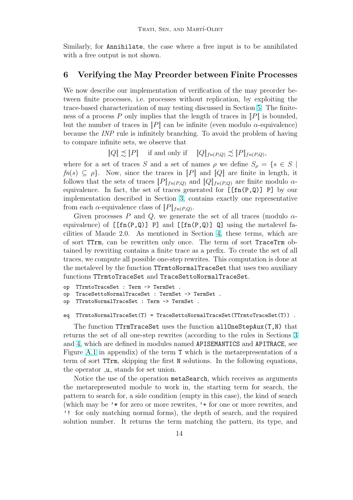<span id="page-13-0"></span>Similarly, for Annihilate, the case where a free input is to be annihilated with a free output is not shown.

#### 6 Verifying the May Preorder between Finite Processes

We now describe our implementation of verification of the may preorder between finite processes, i.e. processes without replication, by exploiting the trace-based characterization of may testing discussed in Section 5. The finiteness of a process P only implies that the length of traces in  $||P||$  is bounded, but the number of traces in  $||P||$  can be infinite (even modulo  $\alpha$ -equivalence) because the INP rule is infinitely branching. To avoid the prob[le](#page-10-0)m of having to compare infinite sets, we observe that

 $\llbracket Q \rrbracket \precsim \llbracket P \rrbracket$  if and only if  $\llbracket Q \rrbracket_{fn(P,Q)} \precsim \llbracket P \rrbracket_{fn(P,Q)}$ ,

where for a set of traces S and a set of names  $\rho$  we define  $S_{\rho} = \{s \in S \mid$  $fn(s) \subseteq \rho$ . Now, since the traces in |P|| and |Q|| are finite in length, it follows that the sets of traces  $||P||_{fn(P,Q)}$  and  $||Q||_{fn(P,Q)}$  are finite modulo  $\alpha$ equivalence. In fact, the set of traces generated for  $[[fn(P,Q)] \; P]$  by our implementation described in Section 3, contains exactly one representative from each  $\alpha$ -equivalence class of  $[P]_{fn(P,Q)}$ .

Given processes P and Q, we generate the set of all traces (modulo  $\alpha$ equivalence) of  $[[fn(P,Q)]]$  $[[fn(P,Q)]]$  P] and  $[[fn(P,Q)]]$  Q] using the metalevel facilities of Maude 2.0. As mentioned in Section 4, these terms, which are of sort TTrm, can be rewritten only once. The term of sort TraceTrm obtained by rewriting contains a finite trace as a prefix. To create the set of all traces, we compute all possible one-step rewrites. [Th](#page-9-0)is computation is done at the metalevel by the function TTrmtoNormalTraceSet that uses two auxiliary functions TTrmtoTraceSet and TraceSettoNormalTraceSet.

```
op TTrmtoTraceSet : Term -> TermSet .
op TraceSettoNormalTraceSet : TermSet -> TermSet .
op TTrmtoNormalTraceSet : Term -> TermSet .
```

```
eq TTrmtoNormalTraceSet(T) = TraceSettoNormalTraceSet(TTrmtoTraceSet(T)) .
```
The function TTrmTraceSet uses the function allOneStepAux(T,N) that returns the set of all one-step rewrites (according to the rules in Sections 3 and 4, which are defined in modules named APISEMANTICS and APITRACE, see Figure A.1 in appendix) of the term T which is the metarepresentation of a term of sort TTrm, skipping the first N solutions. In the following equation[s,](#page-5-0) the [op](#page-9-0)erator  $\mu$  stands for set union.

No[tice t](#page-19-0)he use of the operation metaSearch, which receives as arguments the metarepresented module to work in, the starting term for search, the pattern to search for, a side condition (empty in this case), the kind of search (which may be '\* for zero or more rewrites, '+ for one or more rewrites, and '! for only matching normal forms), the depth of search, and the required solution number. It returns the term matching the pattern, its type, and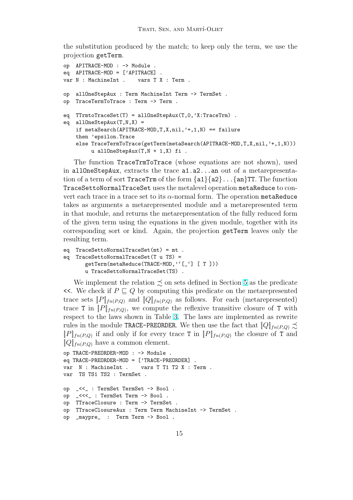the substitution produced by the match; to keep only the term, we use the projection getTerm.

```
op APITRACE-MOD : -> Module .
eq APITRACE-MOD = ['APITRACE] .
var N : MachineInt . vars T X : Term .
op allOneStepAux : Term MachineInt Term -> TermSet .
op TraceTermToTrace : Term -> Term .
eq TTrmtoTraceSet(T) = allOneStepAux(T,0,'X:TraceTrm).
eq allOneStepAux(T,N,X) =if metaSearch(APITRACE-MOD, T, X, nil, '+, 1, N) == failure
    then 'epsilon.Trace
    else TraceTermToTrace(getTerm(metaSearch(APITRACE-MOD,T,X,nil,'+,1,N)))
         u allOneStepAux(T,N + 1,X) fi .
```
The function TraceTrmToTrace (whose equations are not shown), used in allOneStepAux, extracts the trace a1.a2...an out of a metarepresentation of a term of sort TraceTrm of the form  $\{a1\}$  $\{a2\}$ ... $\{an\}$ TT. The function TraceSettoNormalTraceSet uses the metalevel operation metaReduce to convert each trace in a trace set to its  $\alpha$ -normal form. The operation metaReduce takes as arguments a metarepresented module and a metarepresented term in that module, and returns the metarepresentation of the fully reduced form of the given term using the equations in the given module, together with its corresponding sort or kind. Again, the projection getTerm leaves only the resulting term.

```
eq TraceSettoNormalTraceSet(mt) = mt .
eq TraceSettoNormalTraceSet(T u TS) =
       getTerm(metaReduce(TRACE-MOD,''[_'] [ T ]))
       u TraceSettoNormalTraceSet(TS) .
```
We implement the relation  $\lesssim$  on sets defined in Section 5 as the predicate  $\leq$ . We check if  $P \sqsubseteq Q$  by computing this predicate on the metarepresented trace sets  $||P||_{fn(P,Q)}$  and  $||Q||_{fn(P,Q)}$  as follows. For each (metarepresented) trace T in  $||P||_{fn(P,Q)}$ , we compute the reflexive transitive [cl](#page-10-0)osure of T with respect to the laws shown in Table 3. The laws are implemented as rewrite rules in the module **TRACE-PREORDER**. We then use the fact that  $||Q||_{fn(P,Q)} \precsim$  $||P||_{fn(P,Q)}$  if and only if for every trace T in  $||P||_{fn(P,Q)}$  the closure of T and  $\|Q\|_{fn(P,Q)}$  have a common element.

```
op TRACE-PREORDER-MOD : -> Module .
eq TRACE-PREORDER-MOD = ['TRACE-PREORDER] .
var N : MachineInt . vars T T1 T2 X : Term .
var TS TS1 TS2 : TermSet .
op _<<_ : TermSet TermSet -> Bool .
op _<<<_ : TermSet Term -> Bool .
op TTraceClosure : Term -> TermSet .
op TTraceClosureAux : Term Term MachineInt -> TermSet .
op _maypre_ : Term Term -> Bool .
```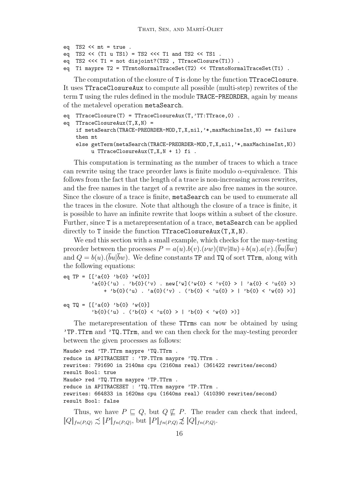```
eq TS2 << mt = true .
eq TS2 << (T1 u TS1) = TS2 <<< T1 and TS2 << TS1 .
eq TS2 <<< T1 = not disjoint?(TS2 , TTraceClosure(T1)) .
eq T1 maypre T2 = TTrmtoNormalTraceSet(T2) << TTrmtoNormalTraceSet(T1) .
```
The computation of the closure of T is done by the function TTraceClosure. It uses TTraceClosureAux to compute all possible (multi-step) rewrites of the term T using the rules defined in the module TRACE-PREORDER, again by means of the metalevel operation metaSearch.

```
eq TTraceClosure(T) = TTraceClosureAux(T,'TT:TTrace,0) .
```
- eq  $TTraceClosureAux(T,X,N) =$ 
	- if metaSearch(TRACE-PREORDER-MOD,T,X,nil,'\*,maxMachineInt,N) == failure then mt
	- else getTerm(metaSearch(TRACE-PREORDER-MOD,T,X,nil,'\*,maxMachineInt,N)) u TTraceClosureAux(T,X,N + 1) fi .

This computation is terminating as the number of traces to which a trace can rewrite using the trace preorder laws is finite modulo  $\alpha$ -equivalence. This follows from the fact that the length of a trace is non-increasing across rewrites, and the free names in the target of a rewrite are also free names in the source. Since the closure of a trace is finite, metaSearch can be used to enumerate all the traces in the closure. Note that although the closure of a trace is finite, it is possible to have an infinite rewrite that loops within a subset of the closure. Further, since T is a metarepresentation of a trace, metaSearch can be applied directly to T inside the function TTraceClosureAux(T,X,N).

We end this section with a small example, which checks for the may-testing preorder between the processes  $P = a(u) \cdot b(v) \cdot (\nu w)(\overline{w}v|\overline{a}u) + b(u) \cdot a(v) \cdot (bu|bw)$ and  $Q = b(u) \cdot (\overline{b}u|\overline{b}w)$ . We define constants TP and TQ of sort TTrm, along with the following equations:

```
eq TP = [ 'a{0} ' b{0} ' w{0} ]'a{0}('u) . 'b{0}('v) . new['w]('w{0} < 'v{0} > | 'a{0} < 'u{0} >)
              + 'b{0}('u) . 'a{0}('v) . ('b{0} < 'u{0} > | 'b{0} < 'w{0} >)]
eq TO = \lceil 'a{0} \rceil 'b{0} \rceil 'w{0}]
```

```
'b{0}('u) . ('b{0} < 'u{0} > | 'b{0} < 'w{0} >)]
```
The metarepresentation of these TTrms can now be obtained by using 'TP.TTrm and 'TQ.TTrm, and we can then check for the may-testing preorder between the given processes as follows:

```
Maude> red 'TP.TTrm maypre 'TQ.TTrm .
reduce in APITRACESET : 'TP.TTrm maypre 'TQ.TTrm .
rewrites: 791690 in 2140ms cpu (2160ms real) (361422 rewrites/second)
result Bool: true
Maude> red 'TQ.TTrm maypre 'TP.TTrm .
reduce in APITRACESET : 'TQ.TTrm maypre 'TP.TTrm .
rewrites: 664833 in 1620ms cpu (1640ms real) (410390 rewrites/second)
result Bool: false
```
Thus, we have  $P \subseteq Q$ , but  $Q \not\subseteq P$ . The reader can check that indeed,  $[Q]_{fn(P,Q)} \precsim [P]_{fn(P,Q)}, \text{ but } [P]_{fn(P,Q)} \not\precsim [Q]_{fn(P,Q)}.$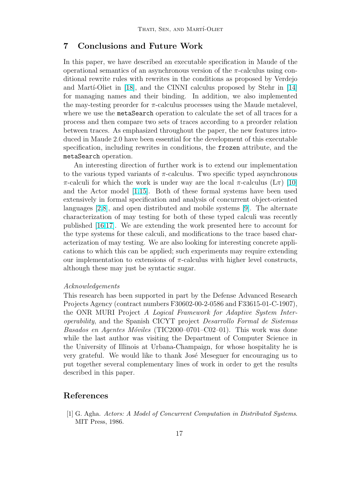#### <span id="page-16-0"></span>7 Conclusions and Future Work

In this paper, we have described an executable specification in Maude of the operational semantics of an asynchronous version of the  $\pi$ -calculus using conditional rewrite rules with rewrites in the conditions as proposed by Verdejo and Martí-Oliet in  $[18]$ , and the CINNI calculus proposed by Stehr in  $[14]$ for managing names and their binding. In addition, we also implemented the may-testing preorder for  $\pi$ -calculus processes using the Maude metalevel, where we use the me[taS](#page-18-0)earch operation to calculate the set of all traces f[or a](#page-18-0) process and then compare two sets of traces according to a preorder relation between traces. As emphasized throughout the paper, the new features introduced in Maude 2.0 have been essential for the development of this executable specification, including rewrites in conditions, the frozen attribute, and the metaSearch operation.

An interesting direction of further work is to extend our implementation to the various typed variants of  $\pi$ -calculus. Two specific typed asynchronous π-calculi for which the work is under way are the local π-calculus  $(Lπ)$  [10] and the Actor model [1,15]. Both of these formal systems have been used extensively in formal specification and analysis of concurrent object-oriented languages [2,8], and open distributed and mobile systems [9]. The alter[nate](#page-17-0) characterization of may [tes](#page-18-0)ting for both of these typed calculi was recently published [16,17]. We are extending the work presented here to account for the type s[ystem](#page-17-0)s for these calculi, and modifications to the [tr](#page-17-0)ace based characterization of may testing. We are also looking for interesting concrete applications to [which](#page-18-0) this can be applied; such experiments may require extending our implementation to extensions of π-calculus with higher level constructs, although these may just be syntactic sugar.

#### Acknowledgements

This research has been supported in part by the Defense Advanced Research Projects Agency (contract numbers F30602-00-2-0586 and F33615-01-C-1907), the ONR MURI Project A Logical Framework for Adaptive System Interoperability, and the Spanish CICYT project Desarrollo Formal de Sistemas Basados en Agentes Móviles (TIC2000–0701–C02–01). This work was done while the last author was visiting the Department of Computer Science in the University of Illinois at Urbana-Champaign, for whose hospitality he is very grateful. We would like to thank José Meseguer for encouraging us to put together several complementary lines of work in order to get the results described in this paper.

#### References

[1] G. Agha. Actors: A Model of Concurrent Computation in Distributed Systems. MIT Press, 1986.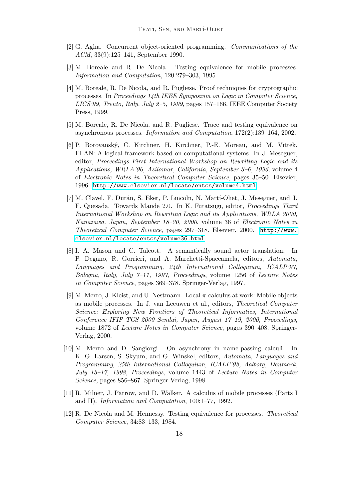- <span id="page-17-0"></span>[2] G. Agha. Concurrent object-oriented programming. Communications of the ACM, 33(9):125–141, September 1990.
- [3] M. Boreale and R. De Nicola. Testing equivalence for mobile processes. Information and Computation, 120:279–303, 1995.
- [4] M. Boreale, R. De Nicola, and R. Pugliese. Proof techniques for cryptographic processes. In Proceedings 14th IEEE Symposium on Logic in Computer Science, LICS'99, Trento, Italy, July 2–5, 1999, pages 157–166. IEEE Computer Society Press, 1999.
- [5] M. Boreale, R. De Nicola, and R. Pugliese. Trace and testing equivalence on asynchronous processes. Information and Computation, 172(2):139–164, 2002.
- [6] P. Borovansk´y, C. Kirchner, H. Kirchner, P.-E. Moreau, and M. Vittek. ELAN: A logical framework based on computational systems. In J. Meseguer, editor, Proceedings First International Workshop on Rewriting Logic and its Applications, WRLA'96, Asilomar, California, September 3–6, 1996, volume 4 of Electronic Notes in Theoretical Computer Science, pages 35–50. Elsevier, 1996. http://www.elsevier.nl/locate/entcs/volume4.html.
- [7] M. Clavel, F. Durán, S. Eker, P. Lincoln, N. Martí-Oliet, J. Meseguer, and J. F. Quesada. Towards Maude 2.0. In K. Futatsugi, editor, Proceedings Third Inter[national Workshop on Rewriting Logic and its Applications,](http://www.elsevier.nl/locate/entcs/volume4.html) WRLA 2000, Kanazawa, Japan, September 18–20, 2000, volume 36 of Electronic Notes in Theoretical Computer Science, pages 297–318. Elsevier, 2000. http://www. elsevier.nl/locate/entcs/volume36.html.
- [8] I. A. Mason and C. Talcott. A semantically sound actor translation. In P. Degano, R. Gorrieri, and A. Marchetti-Spaccamela, editors, [Automata,](http://www.elsevier.nl/locate/entcs/volume36.html) [Languages and Programming, 24th Interna](http://www.elsevier.nl/locate/entcs/volume36.html)tional Colloquium, ICALP'97, Bologna, Italy, July 7–11, 1997, Proceedings, volume 1256 of Lecture Notes in Computer Science, pages 369–378. Springer-Verlag, 1997.
- [9] M. Merro, J. Kleist, and U. Nestmann. Local π-calculus at work: Mobile objects as mobile processes. In J. van Leeuwen et al., editors, Theoretical Computer Science: Exploring New Frontiers of Theoretical Informatics, International Conference IFIP TCS 2000 Sendai, Japan, August 17–19, 2000, Proceedings, volume 1872 of Lecture Notes in Computer Science, pages 390–408. Springer-Verlag, 2000.
- [10] M. Merro and D. Sangiorgi. On asynchrony in name-passing calculi. In K. G. Larsen, S. Skyum, and G. Winskel, editors, Automata, Languages and Programming, 25th International Colloquium, ICALP'98, Aalborg, Denmark, July 13–17, 1998, Proceedings, volume 1443 of Lecture Notes in Computer Science, pages 856–867. Springer-Verlag, 1998.
- [11] R. Milner, J. Parrow, and D. Walker. A calculus of mobile processes (Parts I and II). Information and Computation, 100:1–77, 1992.
- [12] R. De Nicola and M. Hennessy. Testing equivalence for processes. Theoretical Computer Science, 34:83–133, 1984.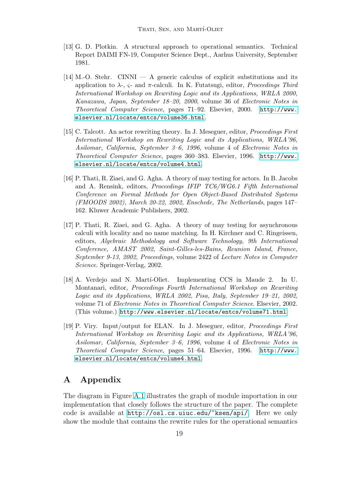- <span id="page-18-0"></span>[13] G. D. Plotkin. A structural approach to operational semantics. Technical Report DAIMI FN-19, Computer Science Dept., Aarhus University, September 1981.
- [14] M.-O. Stehr. CINNI A generic calculus of explicit substitutions and its application to  $\lambda$ -,  $\varsigma$ - and  $\pi$ -calculi. In K. Futatsugi, editor, *Proceedings Third* International Workshop on Rewriting Logic and its Applications, WRLA 2000, Kanazawa, Japan, September 18–20, 2000, volume 36 of Electronic Notes in Theoretical Computer Science, pages 71–92. Elsevier, 2000. http://www. elsevier.nl/locate/entcs/volume36.html.
- [15] C. Talcott. An actor rewriting theory. In J. Meseguer, editor, Proceedings First International Workshop on Rewriting Logic and its Application[s, WRLA'96,](http://www.elsevier.nl/locate/entcs/volume36.html) [Asilomar, California, September 3–6, 1996](http://www.elsevier.nl/locate/entcs/volume36.html), volume 4 of Electronic Notes in Theoretical Computer Science, pages 360–383. Elsevier, 1996. http://www. elsevier.nl/locate/entcs/volume4.html.
- [16] P. Thati, R. Ziaei, and G. Agha. A theory of may testing for actors. In B. Jacobs and A. Rensink, editors, Proceedings IFIP TC6/WG6.1 Fifth [International](http://www.elsevier.nl/locate/entcs/volume4.html) [Conference on Formal Methods for Open O](http://www.elsevier.nl/locate/entcs/volume4.html)bject-Based Distributed Systems (FMOODS 2002), March 20-22, 2002, Enschede, The Netherlands, pages 147– 162. Kluwer Academic Publishers, 2002.
- [17] P. Thati, R. Ziaei, and G. Agha. A theory of may testing for asynchronous calculi with locality and no name matching. In H. Kirchner and C. Ringeissen, editors, Algebraic Methodology and Software Technology, 9th International Conference, AMAST 2002, Saint-Gilles-les-Bains, Reunion Island, France, September 9-13, 2002, Proceedings, volume 2422 of Lecture Notes in Computer Science. Springer-Verlag, 2002.
- [18] A. Verdejo and N. Martí-Oliet. Implementing CCS in Maude 2. In U. Montanari, editor, Proceedings Fourth International Workshop on Rewriting Logic and its Applications, WRLA 2002, Pisa, Italy, September 19–21, 2002, volume 71 of Electronic Notes in Theoretical Computer Science. Elsevier, 2002. (This volume.) http://www.elsevier.nl/locate/entcs/volume71.html.
- [19] P. Viry. Input/output for ELAN. In J. Meseguer, editor, Proceedings First International Workshop on Rewriting Logic and its Applications, WRLA'96, Asilomar, Cali[fornia, September 3–6, 1996](http://www.elsevier.nl/locate/entcs/volume71.html), volume 4 of Electronic Notes in Theoretical Computer Science, pages 51–64. Elsevier, 1996. http://www. elsevier.nl/locate/entcs/volume4.html.

# A Appendix

The diagram in Figure A.1 illustrates the graph of module importation in our implementation that closely follows the structure of the paper. The complete code is available at http://osl.cs.uiuc.edu/~ksen/api/. Here we only show the module that [conta](#page-19-0)ins the rewrite rules for the operational semantics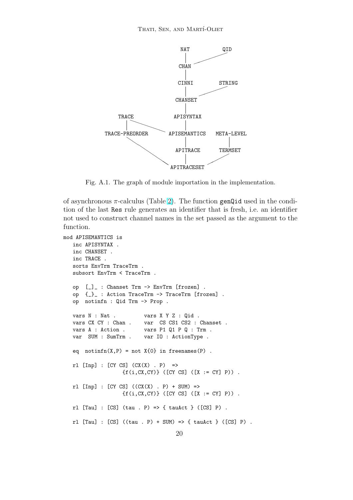<span id="page-19-0"></span>

Fig. A.1. The graph of module importation in the implementation.

of asynchronous  $\pi$ -calculus (Table 2). The function genQid used in the condition of the last Res rule generates an identifier that is fresh, i.e. an identifier not used to construct channel names in the set passed as the argument to the function.

```
mod APISEMANTICS is
  inc APISYNTAX .
  inc CHANSET .
  inc TRACE .
  sorts EnvTrm TraceTrm .
   subsort EnvTrm < TraceTrm .
  op [_]_ : Chanset Trm -> EnvTrm [frozen] .
   op {_}_ : Action TraceTrm -> TraceTrm [frozen] .
   op notinfn : Qid Trm -> Prop .
  vars N : Nat . vars X Y Z : Qid .
  vars CX CY : Chan . var CS CS1 CS2 : Chanset .
   vars A : Action . vars P1 Q1 P Q : Trm .
   var SUM : SumTrm . var IO : ActionType .
  eq notinfn(X, P) = not X{0} in freenames(P).
  rl [Inp] : [CY CS] (CX(X) . P) =>
                  {f(i,CX,CY)} ([CY CS] ([X := CY] P)) .rl [Inp] : [CY CS] ((CX(X) . P) + SUM) =>
                  {f(i,CX,CY)} ([CY CS] (X := CY] P).
  r1 [Tau] : [CS] (tau . P) => { tauAct } ([CS] P) .
  rl [Tau] : [CS] ((tau P) + SUM) \Rightarrow {tauC} = (t = (CS P).
```